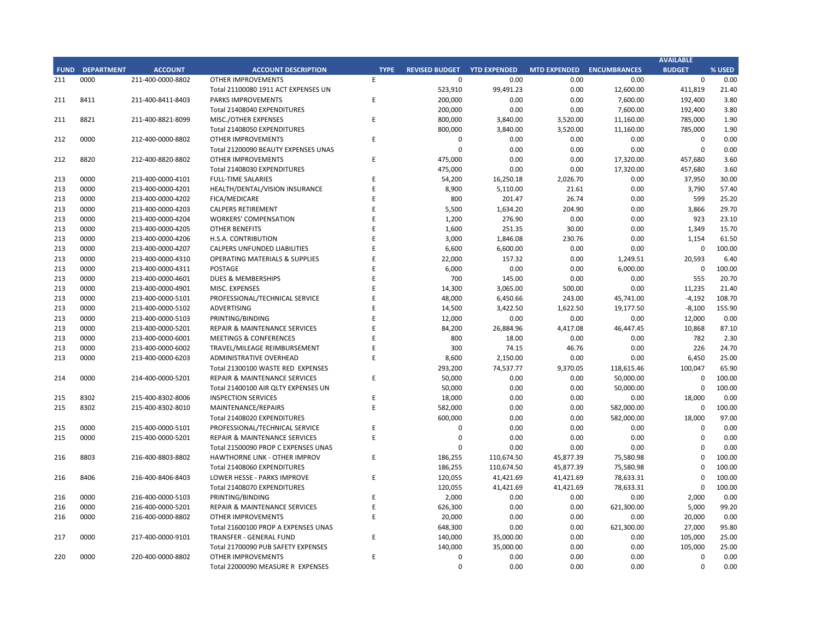## **CITY OF RANCHO PALOS VERDES SUMMARY OF EXPENDITURES - ALL FUNDS October 31, 2018**

|             |                                     |                       | FY 2018-19         |                    |                      | FY 2017-18  |                      |                          |           |
|-------------|-------------------------------------|-----------------------|--------------------|--------------------|----------------------|-------------|----------------------|--------------------------|-----------|
| <b>FUND</b> | <b>FUND DESCRIPTION</b>             | <b>REVISED BUDGET</b> | <b>YTD ACTUALS</b> | <b>YTD ENCUMB.</b> | <b>YTD ACTUALS +</b> | <b>USED</b> | <b>YTD ACTUALS +</b> | YEAR OVER YEAR CHANGE    |           |
|             | 101 GENERAL FUND                    |                       |                    |                    | <b>ENCUMB.</b>       |             | <b>ENCUMB.</b>       | <b>ACTUALS + ENCUMB.</b> |           |
|             | <b>CITY COUNCIL</b>                 | \$<br>154,600         | $50,390$ \$<br>\$  | $3,725$ \$         | 54,115               | 35.0%       | \$<br>44,797         | \$<br>9,317              | 20.8%     |
|             | <b>LEGAL SERVICES</b>               | 925,000               | 320,237            | $\mathbf{0}$       | 320,237              | 34.6%       | 274,091              | 46,146                   | 16.8%     |
|             | <b>CITY CLERK</b>                   | 621,200               | 123,261            | 5,017              | 128,278              | 20.7%       | 174,806              | (46, 528)                | $-26.6%$  |
|             | <b>CITY MANAGER</b>                 | 856,500               | 253,254            | 37,255             | 290,509              | 33.9%       | 394,724              | (104, 215)               | $-26.4%$  |
|             | <b>CITY ADMINISTRATION</b>          | 555,750               | 105,926            | 75,198             | 181,124              | 32.6%       | 148,909              | 32,215                   | 21.6%     |
|             | <b>HUMAN RESOURCES</b>              | 365,600               | 99,229             | 6,967              | 106,196              | 29.0%       | 157,382              | (51, 185)                | $-32.5%$  |
|             | <b>INFORMATION TECHNOLOGIES</b>     | 1,251,513             | 305,776            | 327,184            | 632,960              | 50.6%       | 596,722              | 36,238                   | 6.1%      |
|             | <b>FINANCE</b>                      | 1,604,950             | 400,832            | 70,750             | 471,582              | 29.4%       | 447,750              | 23,832                   | 5.3%      |
|             | <b>PUBLIC WORKS</b>                 | 6,139,977             | 779,982            | 1,766,723          | 2,546,705            | 41.5%       | 2,758,562            | (211, 857)               | $-7.7%$   |
|             | <b>COMMUNITY DEVELOPMENT</b>        | 3,798,174             | 853,917            | 708,360            | 1,562,277            | 41.1%       | 1,379,799            | 182,478                  | 13.2%     |
|             | <b>RECREATIONAL &amp; PARKS</b>     | 2,895,000             | 787,709            | 93,713             | 881,422              | 30.4%       | 818,737              | 62,685                   | 7.7%      |
|             | <b>PUBLIC SAFETY</b>                | 7,726,750             | 1,783,139          | 5,837,349          | 7,620,488            | 98.6%       | 7,094,028            | 526,460                  | 7.4%      |
|             | NON-DEPARTMENTAL                    | 1,339,812             | 286,751            | 128,416            | 415,167              | 31.0%       | 856,876              | (441, 709)               | $-51.5%$  |
|             | <b>TRANSFERS OUT</b>                | 4,564,700             | 1,141,175          | $\mathbf 0$        | 1,141,175            | 25.0%       | 1,203,375            | (62, 200)                | $-5.2%$   |
|             | <b>TOTAL GENERAL FUND</b>           | 32,799,525            | 7,291,577          | 9,060,659          | 16,352,236           | 49.9%       | 16,350,559           | 1,677                    | 0.0%      |
|             |                                     |                       |                    |                    |                      |             |                      |                          |           |
| <b>200</b>  | <b>SPECIAL REVENUE FUNDS</b>        |                       |                    |                    |                      |             |                      |                          |           |
|             | 202 STREET MAINTENANCE              | 1,634,786             | 223,019            | 1,144,560          | 1,367,579            | 83.7%       | 1,522,709            | (155, 130)               | $-10.2%$  |
|             | 203 1972 ACT LANDSCAPING & LIGHTING | $\mathbf 0$           | $\mathbf{0}$       | $\mathbf{0}$       | $\mathbf 0$          | 0.0%        | 2,537                | (2,537)                  | $-100.0%$ |
|             | 209 EL PRADO LIGHTING DISTRICT      | 800                   | 125                | 500                | 625                  | 78.1%       | 548                  | 77                       | 14.0%     |
|             | 211 1911 ACT STREET LIGHTING        | 1,370,842             | 110,835            | 863,593            | 974,429              | 71.1%       | 134,691              | 839,737                  | 623.5%    |
|             | 212 BEAUTIFICATION                  | 475,009               | 166,502            | 139,255            | 305,757              | 64.4%       | 17,320               | 288,437                  | 1665.3%   |
|             | 213 WASTE REDUCTION                 | 317,100               | 66,595             | 89,746             | 156,341              | 49.3%       | 193,153              | (36, 812)                | $-19.1%$  |
|             | 214 AIR QUALITY MANAGEMENT          | 50,000                | 25,000             | 25,000             | 50,000               | 100.0%      | 50,000               | 0                        | 0.0%      |
|             | 215 PROPOSITION C                   | 1,100,000             | $\mathbf 0$        | 138,000            | 138,000              | 12.5%       | 582,000              | (444,000)                | $-76.3%$  |
|             | 216 PROPOSITION A                   | 1,250,154             | 339,139            | 341,015            | 680,154              | 54.4%       | 927,610              | (247, 456)               | $-26.7%$  |
|             | 217 PUBLIC SAFETY GRANTS            | 130,000               | 32,500             | $\mathbf 0$        | 32,500               | 25.0%       | 35,000               | (2,500)                  | $-7.1%$   |
|             | 220 MEASURE R                       | 100,000               | 0                  | 203,712            | 203,712              | 203.7%      | 0                    | 203,712                  | 0.0%      |
|             | 221 MEASURE M                       | 536,000               | 137,187            | 470,410            | 607,597              | 113.4%      | 173,261              | 434,336                  | 250.7%    |
|             | 222 HABITAT RESTORATION             | 179,500               | 74,749             | 74,751             | 149,500              | 83.3%       | 180,453              | (30, 953)                | $-17.2%$  |
|             | 223 SUBREGION ONE MAINTENANCE       | 46,800                | 11,157             | 26,000             | 37,157               | 79.4%       | 29,256               | 7,901                    | 27.0%     |
|             | 224 MEASURE A MAINTENANCE           | 90,000                | 22,500             | $\Omega$           | 22,500               | 25.0%       | 22,500               | $\Omega$                 | 0.0%      |
|             | 225 ABALONE COVE SEWER DISTRICT     | 431,906               | 7,348              | 5,400              | 12,749               | 3.0%        | 105,106              | (92, 357)                | $-87.9%$  |